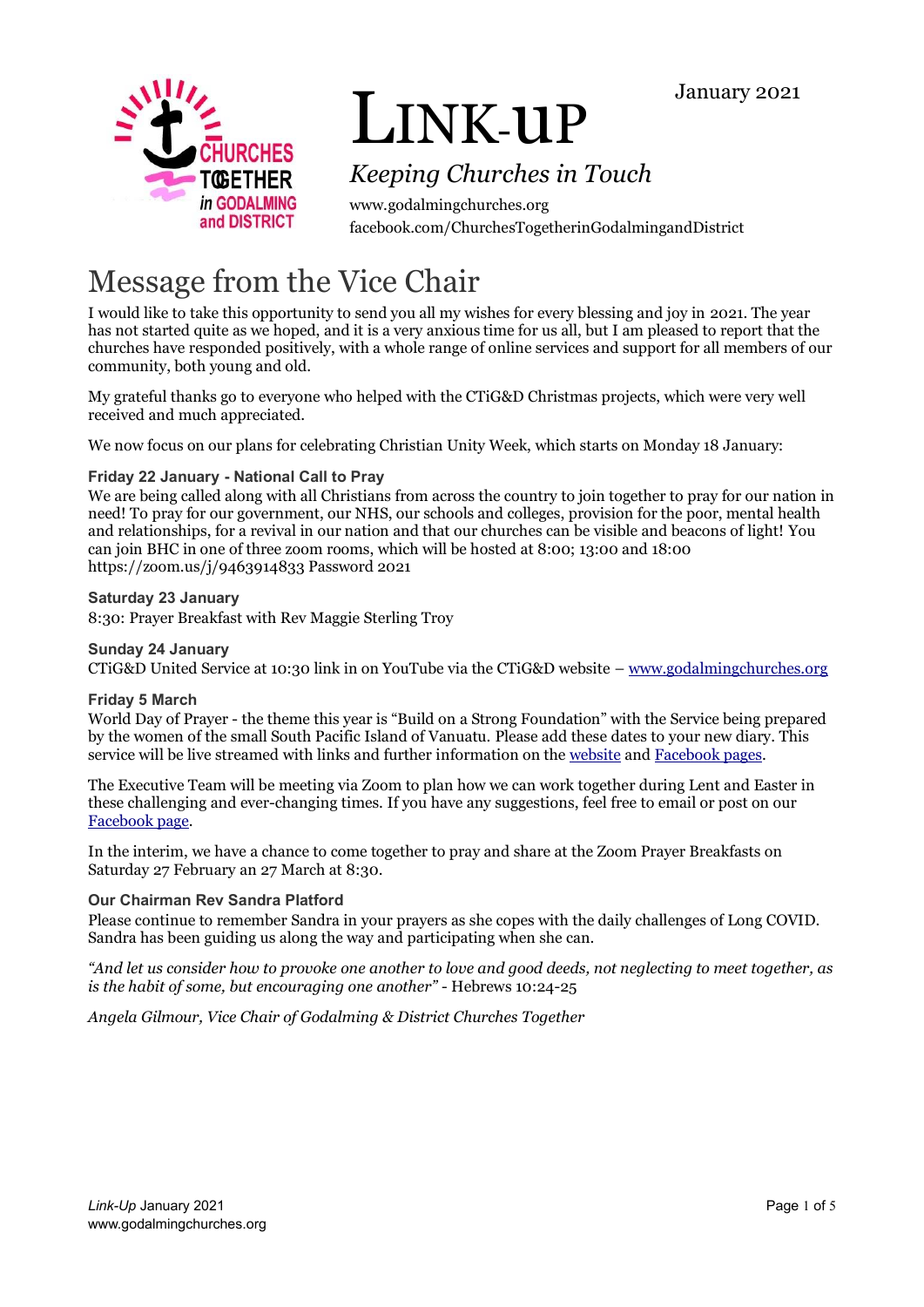



# LINK-uP

# *Keeping Churches in Touch*

www.godalmingchurches.org facebook.com/ChurchesTogetherinGodalmingandDistrict

# Message from the Vice Chair

I would like to take this opportunity to send you all my wishes for every blessing and joy in 2021. The year has not started quite as we hoped, and it is a very anxious time for us all, but I am pleased to report that the churches have responded positively, with a whole range of online services and support for all members of our community, both young and old.

My grateful thanks go to everyone who helped with the CTiG&D Christmas projects, which were very well received and much appreciated.

We now focus on our plans for celebrating Christian Unity Week, which starts on Monday 18 January:

## **Friday 22 January - National Call to Pray**

We are being called along with all Christians from across the country to join together to pray for our nation in need! To pray for our government, our NHS, our schools and colleges, provision for the poor, mental health and relationships, for a revival in our nation and that our churches can be visible and beacons of light! You can join BHC in one of three zoom rooms, which will be hosted at 8:00; 13:00 and 18:00 https://zoom.us/j/9463914833 Password 2021

### **Saturday 23 January**

8:30: Prayer Breakfast with Rev Maggie Sterling Troy

## **Sunday 24 January**

CTiG&D United Service at 10:30 link in on YouTube via the CTiG&D website – [www.godalmingchurches.org](http://www.godalmingchurches.org/)

#### **Friday 5 March**

World Day of Prayer - the theme this year is "Build on a Strong Foundation" with the Service being prepared by the women of the small South Pacific Island of Vanuatu. Please add these dates to your new diary. This service will be live streamed with links and further information on the [website](https://www.wwdp.org.uk/) an[d Facebook pages.](https://www.facebook.com/WorldDayOfPrayerEWNI/)

The Executive Team will be meeting via Zoom to plan how we can work together during Lent and Easter in these challenging and ever-changing times. If you have any suggestions, feel free to email or post on our [Facebook page.](https://www.facebook.com/ChurchesTogetherinGodalmingandDistrict/)

In the interim, we have a chance to come together to pray and share at the Zoom Prayer Breakfasts on Saturday 27 February an 27 March at 8:30.

## **Our Chairman Rev Sandra Platford**

Please continue to remember Sandra in your prayers as she copes with the daily challenges of Long COVID. Sandra has been guiding us along the way and participating when she can.

*"And let us consider how to provoke one another to love and good deeds, not neglecting to meet together, as is the habit of some, but encouraging one another"* - Hebrews 10:24-25

*Angela Gilmour, Vice Chair of Godalming & District Churches Together*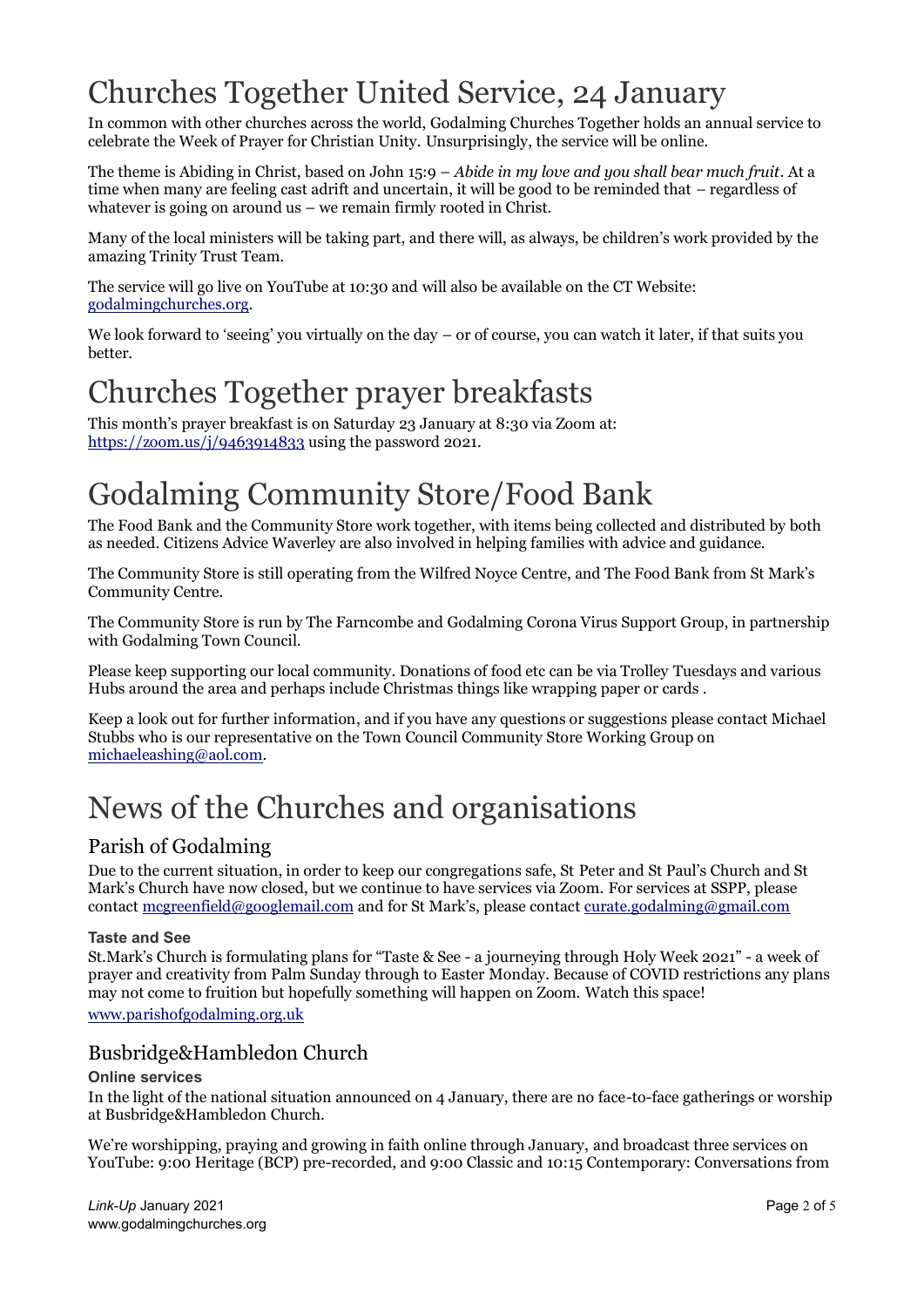# Churches Together United Service, 24 January

In common with other churches across the world, Godalming Churches Together holds an annual service to celebrate the Week of Prayer for Christian Unity. Unsurprisingly, the service will be online.

The theme is Abiding in Christ, based on John 15:9 – *Abide in my love and you shall bear much fruit*. At a time when many are feeling cast adrift and uncertain, it will be good to be reminded that – regardless of whatever is going on around us – we remain firmly rooted in Christ.

Many of the local ministers will be taking part, and there will, as always, be children's work provided by the amazing Trinity Trust Team.

The service will go live on YouTube at 10:30 and will also be available on the CT Website: [godalmingchurches.org.](https://www.godalmingchurches.org/)

We look forward to 'seeing' you virtually on the day – or of course, you can watch it later, if that suits you better.

# Churches Together prayer breakfasts

This month's prayer breakfast is on Saturday 23 January at 8:30 via Zoom at: <https://zoom.us/j/9463914833> using the password 2021.

# Godalming Community Store/Food Bank

The Food Bank and the Community Store work together, with items being collected and distributed by both as needed. Citizens Advice Waverley are also involved in helping families with advice and guidance.

The Community Store is still operating from the Wilfred Noyce Centre, and The Food Bank from St Mark's Community Centre.

The Community Store is run by The Farncombe and Godalming Corona Virus Support Group, in partnership with Godalming Town Council.

Please keep supporting our local community. Donations of food etc can be via Trolley Tuesdays and various Hubs around the area and perhaps include Christmas things like wrapping paper or cards .

Keep a look out for further information, and if you have any questions or suggestions please contact Michael Stubbs who is our representative on the Town Council Community Store Working Group on [michaeleashing@aol.com.](mailto:michaeleashing@aol.com)

# News of the Churches and organisations

# Parish of Godalming

Due to the current situation, in order to keep our congregations safe, St Peter and St Paul's Church and St Mark's Church have now closed, but we continue to have services via Zoom. For services at SSPP, please contac[t mcgreenfield@googlemail.com](mailto:mcgreenfield@googlemail.com) and for St Mark's, please contac[t curate.godalming@gmail.com](mailto:curate.godalming@gmail.com)

## **Taste and See**

St.Mark's Church is formulating plans for "Taste & See - a journeying through Holy Week 2021" - a week of prayer and creativity from Palm Sunday through to Easter Monday. Because of COVID restrictions any plans may not come to fruition but hopefully something will happen on Zoom. Watch this space! [www.parishofgodalming.org.uk](https://www.parishofgodalming.org.uk/)

# Busbridge&Hambledon Church

## **Online services**

In the light of the national situation announced on 4 January, there are no face-to-face gatherings or worship at Busbridge&Hambledon Church.

We're worshipping, praying and growing in faith online through January, and broadcast three services on YouTube: 9:00 Heritage (BCP) pre-recorded, and 9:00 Classic and 10:15 Contemporary: Conversations from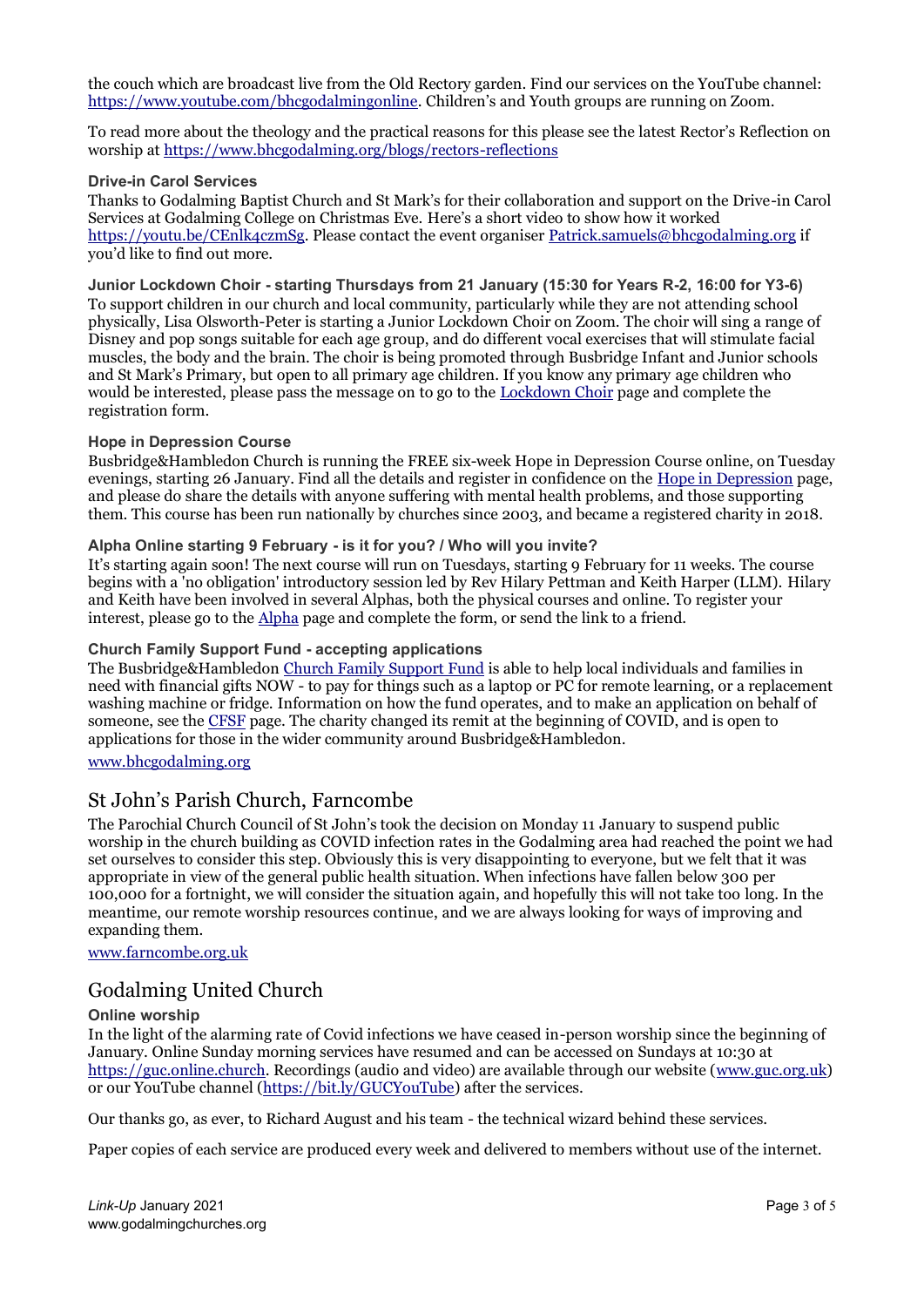the couch which are broadcast live from the Old Rectory garden. Find our services on the YouTube channel: [https://www.youtube.com/bhcgodalmingonline.](https://www.youtube.com/bhcgodalmingonline) Children's and Youth groups are running on Zoom.

To read more about the theology and the practical reasons for this please see the latest Rector's Reflection on worship a[t https://www.bhcgodalming.org/blogs/rectors-reflections](https://www.bhcgodalming.org/blogs/rectors-reflections)

#### **Drive-in Carol Services**

Thanks to Godalming Baptist Church and St Mark's for their collaboration and support on the Drive-in Carol Services at Godalming College on Christmas Eve. Here's a short video to show how it worked [https://youtu.be/CEnlk4czmSg.](https://youtu.be/CEnlk4czmSg) Please contact the event organise[r Patrick.samuels@bhcgodalming.org](mailto:Patrick.samuels@bhcgodalming.org) if you'd like to find out more.

**Junior Lockdown Choir - starting Thursdays from 21 January (15:30 for Years R-2, 16:00 for Y3-6)** To support children in our church and local community, particularly while they are not attending school physically, Lisa Olsworth-Peter is starting a Junior Lockdown Choir on Zoom. The choir will sing a range of Disney and pop songs suitable for each age group, and do different vocal exercises that will stimulate facial muscles, the body and the brain. The choir is being promoted through Busbridge Infant and Junior schools and St Mark's Primary, but open to all primary age children. If you know any primary age children who would be interested, please pass the message on to go to the [Lockdown Choir](https://www.bhcgodalming.org/childrens-lockdown-choir) page and complete the registration form.

#### **Hope in Depression Course**

Busbridge&Hambledon Church is running the FREE six-week Hope in Depression Course online, on Tuesday evenings, starting 26 January. Find all the details and register in confidence on the [Hope in Depression](https://www.bhcgodalming.org/hope-in-depression) page, and please do share the details with anyone suffering with mental health problems, and those supporting them. This course has been run nationally by churches since 2003, and became a registered charity in 2018.

#### **Alpha Online starting 9 February - is it for you? / Who will you invite?**

It's starting again soon! The next course will run on Tuesdays, starting 9 February for 11 weeks. The course begins with a 'no obligation' introductory session led by Rev Hilary Pettman and Keith Harper (LLM). Hilary and Keith have been involved in several Alphas, both the physical courses and online. To register your interest, please go to the [Alpha](https://www.bhcgodalming.org/alpha) page and complete the form, or send the link to a friend.

#### **Church Family Support Fund - accepting applications**

The Busbridge&Hambledo[n Church Family Support Fund](https://www.bhcgodalming.org/church-family-support-fund) is able to help local individuals and families in need with financial gifts NOW - to pay for things such as a laptop or PC for remote learning, or a replacement washing machine or fridge. Information on how the fund operates, and to make an application on behalf of someone, see the [CFSF](https://www.bhcgodalming.org/church-family-support-fund) page. The charity changed its remit at the beginning of COVID, and is open to applications for those in the wider community around Busbridge&Hambledon.

#### [www.bhcgodalming.org](https://www.bhcgodalming.org/)

## St John's Parish Church, Farncombe

The Parochial Church Council of St John's took the decision on Monday 11 January to suspend public worship in the church building as COVID infection rates in the Godalming area had reached the point we had set ourselves to consider this step. Obviously this is very disappointing to everyone, but we felt that it was appropriate in view of the general public health situation. When infections have fallen below 300 per 100,000 for a fortnight, we will consider the situation again, and hopefully this will not take too long. In the meantime, our remote worship resources continue, and we are always looking for ways of improving and expanding them.

[www.farncombe.org.uk](http://www.farncombe.org.uk/)

# Godalming United Church

#### **Online worship**

In the light of the alarming rate of Covid infections we have ceased in-person worship since the beginning of January. Online Sunday morning services have resumed and can be accessed on Sundays at 10:30 at [https://guc.online.church.](https://guc.online.church/) Recordings (audio and video) are available through our website [\(www.guc.org.uk\)](https://www.guc.org.uk/) or our YouTube channel [\(https://bit.ly/GUCYouTube\)](https://bit.ly/GUCYouTube) after the services.

Our thanks go, as ever, to Richard August and his team - the technical wizard behind these services.

Paper copies of each service are produced every week and delivered to members without use of the internet.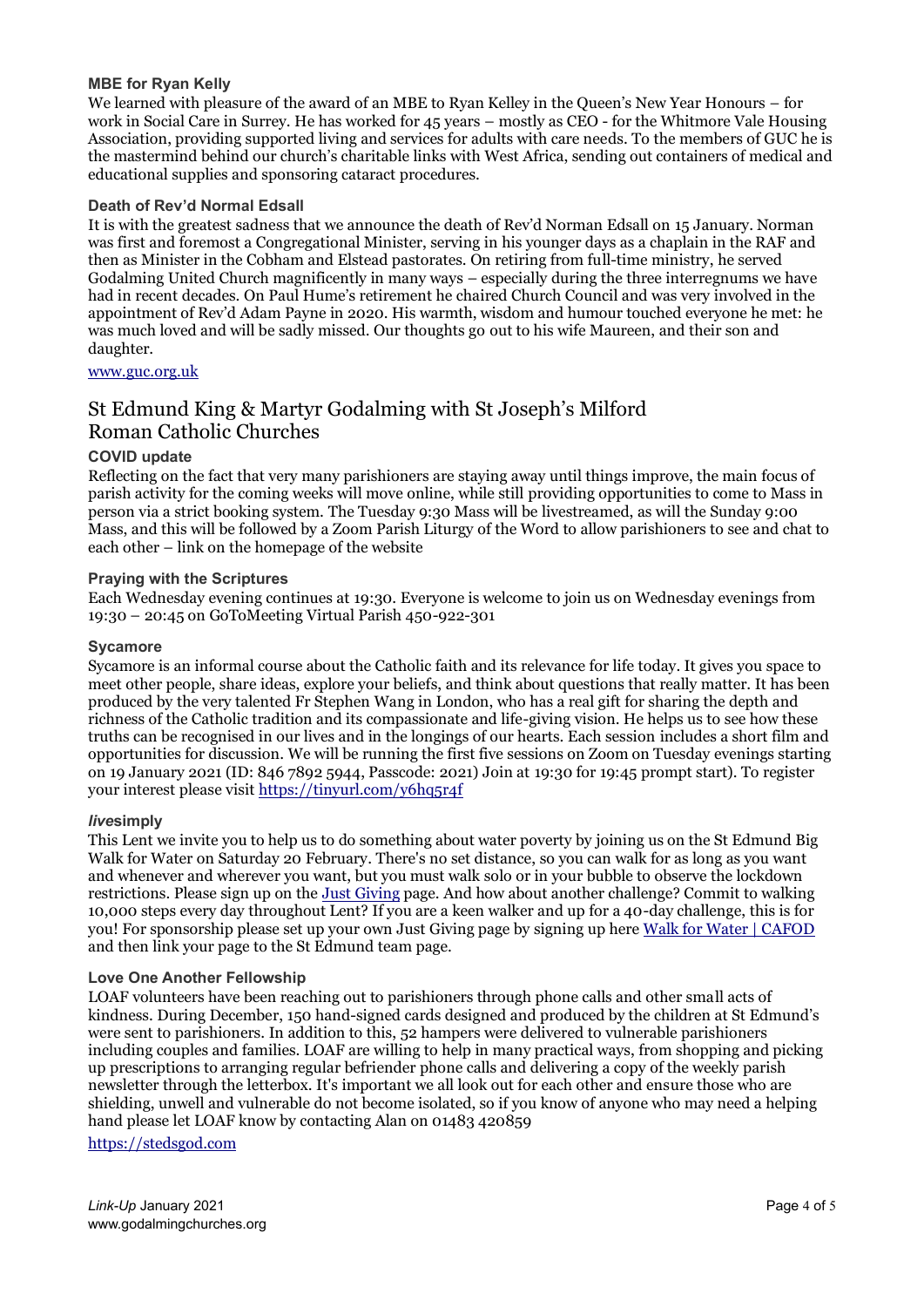#### **MBE for Ryan Kelly**

We learned with pleasure of the award of an MBE to Ryan Kelley in the Queen's New Year Honours – for work in Social Care in Surrey. He has worked for 45 years – mostly as CEO - for the Whitmore Vale Housing Association, providing supported living and services for adults with care needs. To the members of GUC he is the mastermind behind our church's charitable links with West Africa, sending out containers of medical and educational supplies and sponsoring cataract procedures.

#### **Death of Rev'd Normal Edsall**

It is with the greatest sadness that we announce the death of Rev'd Norman Edsall on 15 January. Norman was first and foremost a Congregational Minister, serving in his younger days as a chaplain in the RAF and then as Minister in the Cobham and Elstead pastorates. On retiring from full-time ministry, he served Godalming United Church magnificently in many ways – especially during the three interregnums we have had in recent decades. On Paul Hume's retirement he chaired Church Council and was very involved in the appointment of Rev'd Adam Payne in 2020. His warmth, wisdom and humour touched everyone he met: he was much loved and will be sadly missed. Our thoughts go out to his wife Maureen, and their son and daughter.

[www.guc.org.uk](http://www.guc.org.uk/)

# St Edmund King & Martyr Godalming with St Joseph's Milford Roman Catholic Churches

#### **COVID update**

Reflecting on the fact that very many parishioners are staying away until things improve, the main focus of parish activity for the coming weeks will move online, while still providing opportunities to come to Mass in person via a strict booking system. The Tuesday 9:30 Mass will be livestreamed, as will the Sunday 9:00 Mass, and this will be followed by a Zoom Parish Liturgy of the Word to allow parishioners to see and chat to each other – link on the homepage of the website

#### **Praying with the Scriptures**

Each Wednesday evening continues at 19:30. Everyone is welcome to join us on Wednesday evenings from 19:30 – 20:45 on GoToMeeting Virtual Parish 450-922-301

#### **Sycamore**

Sycamore is an informal course about the Catholic faith and its relevance for life today. It gives you space to meet other people, share ideas, explore your beliefs, and think about questions that really matter. It has been produced by the very talented Fr Stephen Wang in London, who has a real gift for sharing the depth and richness of the Catholic tradition and its compassionate and life-giving vision. He helps us to see how these truths can be recognised in our lives and in the longings of our hearts. Each session includes a short film and opportunities for discussion. We will be running the first five sessions on Zoom on Tuesday evenings starting on 19 January 2021 (ID: 846 7892 5944, Passcode: 2021) Join at 19:30 for 19:45 prompt start). To register your interest please visi[t https://tinyurl.com/y6hq5r4f](https://tinyurl.com/y6hq5r4f)

#### *live***simply**

This Lent we invite you to help us to do something about water poverty by joining us on the St Edmund Big Walk for Water on Saturday 20 February. There's no set distance, so you can walk for as long as you want and whenever and wherever you want, but you must walk solo or in your bubble to observe the lockdown restrictions. Please sign up on the [Just Giving](https://www.justgiving.com/fundraising/stedmundsgodalming) page. And how about another challenge? Commit to walking 10,000 steps every day throughout Lent? If you are a keen walker and up for a 40-day challenge, this is for you! For sponsorship please set up your own Just Giving page by signing up her[e Walk for Water | CAFOD](https://walk.cafod.org.uk/) and then link your page to the St Edmund team page.

#### **Love One Another Fellowship**

LOAF volunteers have been reaching out to parishioners through phone calls and other small acts of kindness. During December, 150 hand-signed cards designed and produced by the children at St Edmund's were sent to parishioners. In addition to this, 52 hampers were delivered to vulnerable parishioners including couples and families. LOAF are willing to help in many practical ways, from shopping and picking up prescriptions to arranging regular befriender phone calls and delivering a copy of the weekly parish newsletter through the letterbox. It's important we all look out for each other and ensure those who are shielding, unwell and vulnerable do not become isolated, so if you know of anyone who may need a helping hand please let LOAF know by contacting Alan on 01483 420859

[https://stedsgod.com](https://stedsgod.com/)